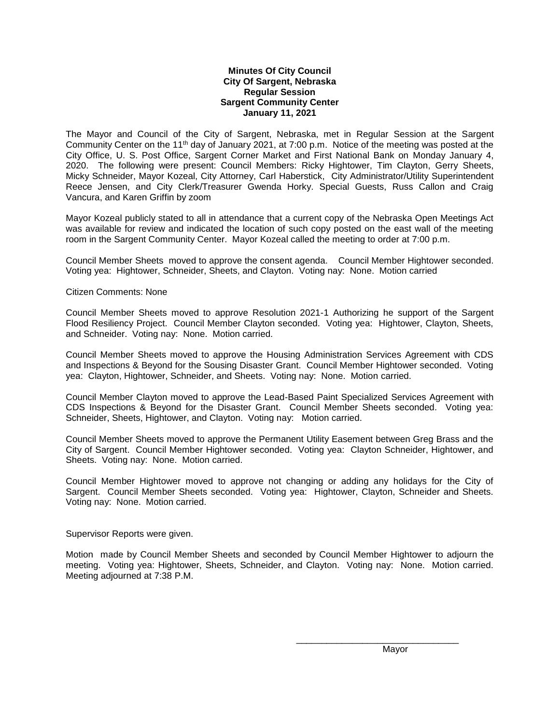## **Minutes Of City Council City Of Sargent, Nebraska Regular Session Sargent Community Center January 11, 2021**

The Mayor and Council of the City of Sargent, Nebraska, met in Regular Session at the Sargent Community Center on the 11<sup>th</sup> day of January 2021, at 7:00 p.m. Notice of the meeting was posted at the City Office, U. S. Post Office, Sargent Corner Market and First National Bank on Monday January 4, 2020. The following were present: Council Members: Ricky Hightower, Tim Clayton, Gerry Sheets, Micky Schneider, Mayor Kozeal, City Attorney, Carl Haberstick, City Administrator/Utility Superintendent Reece Jensen, and City Clerk/Treasurer Gwenda Horky. Special Guests, Russ Callon and Craig Vancura, and Karen Griffin by zoom

Mayor Kozeal publicly stated to all in attendance that a current copy of the Nebraska Open Meetings Act was available for review and indicated the location of such copy posted on the east wall of the meeting room in the Sargent Community Center. Mayor Kozeal called the meeting to order at 7:00 p.m.

Council Member Sheets moved to approve the consent agenda. Council Member Hightower seconded. Voting yea: Hightower, Schneider, Sheets, and Clayton. Voting nay: None. Motion carried

Citizen Comments: None

Council Member Sheets moved to approve Resolution 2021-1 Authorizing he support of the Sargent Flood Resiliency Project. Council Member Clayton seconded. Voting yea: Hightower, Clayton, Sheets, and Schneider. Voting nay: None. Motion carried.

Council Member Sheets moved to approve the Housing Administration Services Agreement with CDS and Inspections & Beyond for the Sousing Disaster Grant. Council Member Hightower seconded. Voting yea: Clayton, Hightower, Schneider, and Sheets. Voting nay: None. Motion carried.

Council Member Clayton moved to approve the Lead-Based Paint Specialized Services Agreement with CDS Inspections & Beyond for the Disaster Grant. Council Member Sheets seconded. Voting yea: Schneider, Sheets, Hightower, and Clayton. Voting nay: Motion carried.

Council Member Sheets moved to approve the Permanent Utility Easement between Greg Brass and the City of Sargent. Council Member Hightower seconded. Voting yea: Clayton Schneider, Hightower, and Sheets. Voting nay: None. Motion carried.

Council Member Hightower moved to approve not changing or adding any holidays for the City of Sargent. Council Member Sheets seconded. Voting yea: Hightower, Clayton, Schneider and Sheets. Voting nay: None. Motion carried.

Supervisor Reports were given.

Motion made by Council Member Sheets and seconded by Council Member Hightower to adjourn the meeting. Voting yea: Hightower, Sheets, Schneider, and Clayton. Voting nay: None. Motion carried. Meeting adjourned at 7:38 P.M.

Mayor

\_\_\_\_\_\_\_\_\_\_\_\_\_\_\_\_\_\_\_\_\_\_\_\_\_\_\_\_\_\_\_\_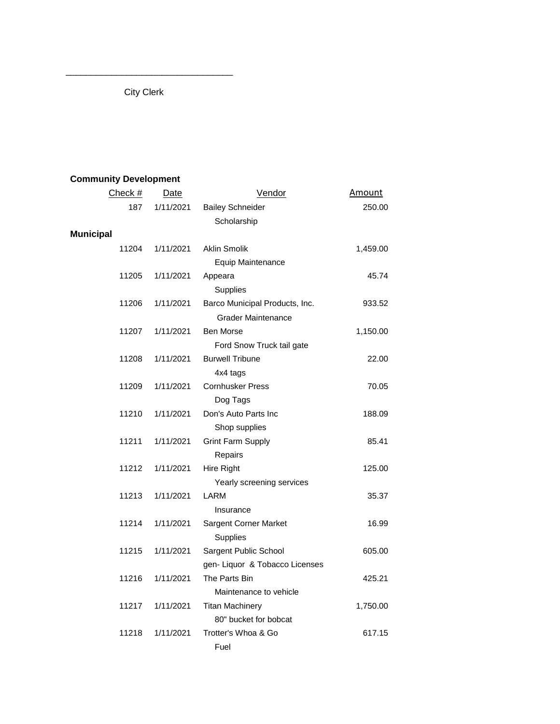City Clerk

\_\_\_\_\_\_\_\_\_\_\_\_\_\_\_\_\_\_\_\_\_\_\_\_\_\_\_\_\_\_\_\_\_

## **Community Development**

| Check #          | <b>Date</b> | Vendor                         | <b>Amount</b> |
|------------------|-------------|--------------------------------|---------------|
| 187              | 1/11/2021   | <b>Bailey Schneider</b>        | 250.00        |
|                  |             | Scholarship                    |               |
| <b>Municipal</b> |             |                                |               |
| 11204            | 1/11/2021   | <b>Aklin Smolik</b>            | 1,459.00      |
|                  |             | Equip Maintenance              |               |
| 11205            | 1/11/2021   | Appeara                        | 45.74         |
|                  |             | Supplies                       |               |
| 11206            | 1/11/2021   | Barco Municipal Products, Inc. | 933.52        |
|                  |             | <b>Grader Maintenance</b>      |               |
| 11207            | 1/11/2021   | <b>Ben Morse</b>               | 1,150.00      |
|                  |             | Ford Snow Truck tail gate      |               |
| 11208            | 1/11/2021   | <b>Burwell Tribune</b>         | 22.00         |
|                  |             | 4x4 tags                       |               |
| 11209            | 1/11/2021   | <b>Cornhusker Press</b>        | 70.05         |
|                  |             | Dog Tags                       |               |
| 11210            | 1/11/2021   | Don's Auto Parts Inc           | 188.09        |
|                  |             | Shop supplies                  |               |
| 11211            | 1/11/2021   | <b>Grint Farm Supply</b>       | 85.41         |
|                  |             | Repairs                        |               |
| 11212            | 1/11/2021   | Hire Right                     | 125.00        |
|                  |             | Yearly screening services      |               |
| 11213            | 1/11/2021   | <b>LARM</b>                    | 35.37         |
|                  |             | Insurance                      |               |
| 11214            | 1/11/2021   | Sargent Corner Market          | 16.99         |
|                  |             | Supplies                       |               |
| 11215            | 1/11/2021   | Sargent Public School          | 605.00        |
|                  |             | gen- Liquor & Tobacco Licenses |               |
| 11216            | 1/11/2021   | The Parts Bin                  | 425.21        |
|                  |             | Maintenance to vehicle         |               |
| 11217            | 1/11/2021   | <b>Titan Machinery</b>         | 1,750.00      |
|                  |             | 80" bucket for bobcat          |               |
| 11218            | 1/11/2021   | Trotter's Whoa & Go            | 617.15        |
|                  |             | Fuel                           |               |